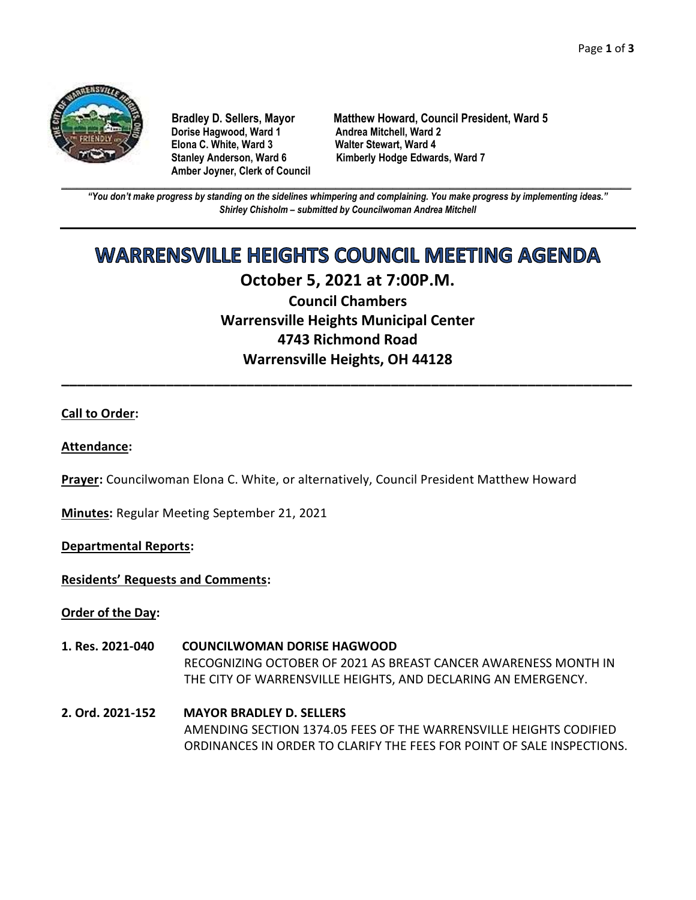

**Dorise Hagwood, Ward 1 Elona C. White, Ward 3 Walter Stewart, Ward 4 Amber Joyner, Clerk of Council**

**Bradley D. Sellers, Mayor Matthew Howard, Council President, Ward 5** Stanley Anderson, Ward 6 Kimberly Hodge Edwards, Ward 7

**\_\_\_\_\_\_\_\_\_\_\_\_\_\_\_\_\_\_\_\_\_\_\_\_\_\_\_\_\_\_\_\_\_\_\_\_\_\_\_\_\_\_\_\_\_\_\_\_\_\_\_\_\_\_\_\_\_\_\_\_\_\_\_\_\_\_\_\_\_\_\_\_\_\_\_\_\_\_\_\_\_\_\_\_\_\_\_\_\_\_\_\_\_\_\_\_\_\_\_\_\_\_\_\_\_\_\_\_\_\_** *"You don't make progress by standing on the sidelines whimpering and complaining. You make progress by implementing ideas." Shirley Chisholm – submitted by Councilwoman Andrea Mitchell*

## **WARRENSVILLE HEIGHTS COUNCIL MEETING AGENDA**

## **October 5, 2021 at 7:00P.M.**

**Council Chambers Warrensville Heights Municipal Center 4743 Richmond Road Warrensville Heights, OH 44128**

**\_\_\_\_\_\_\_\_\_\_\_\_\_\_\_\_\_\_\_\_\_\_\_\_\_\_\_\_\_\_\_\_\_\_\_\_\_\_\_\_\_\_\_\_\_\_\_\_\_\_\_\_\_\_\_\_\_\_\_\_\_\_\_\_\_\_\_\_\_\_\_**

#### **Call to Order:**

#### **Attendance:**

**Prayer:** Councilwoman Elona C. White, or alternatively, Council President Matthew Howard

**Minutes:** Regular Meeting September 21, 2021

#### **Departmental Reports:**

**Residents' Requests and Comments:**

**Order of the Day:**

- **1. Res. 2021-040 COUNCILWOMAN DORISE HAGWOOD** RECOGNIZING OCTOBER OF 2021 AS BREAST CANCER AWARENESS MONTH IN THE CITY OF WARRENSVILLE HEIGHTS, AND DECLARING AN EMERGENCY.
- **2. Ord. 2021-152 MAYOR BRADLEY D. SELLERS** AMENDING SECTION 1374.05 FEES OF THE WARRENSVILLE HEIGHTS CODIFIED ORDINANCES IN ORDER TO CLARIFY THE FEES FOR POINT OF SALE INSPECTIONS.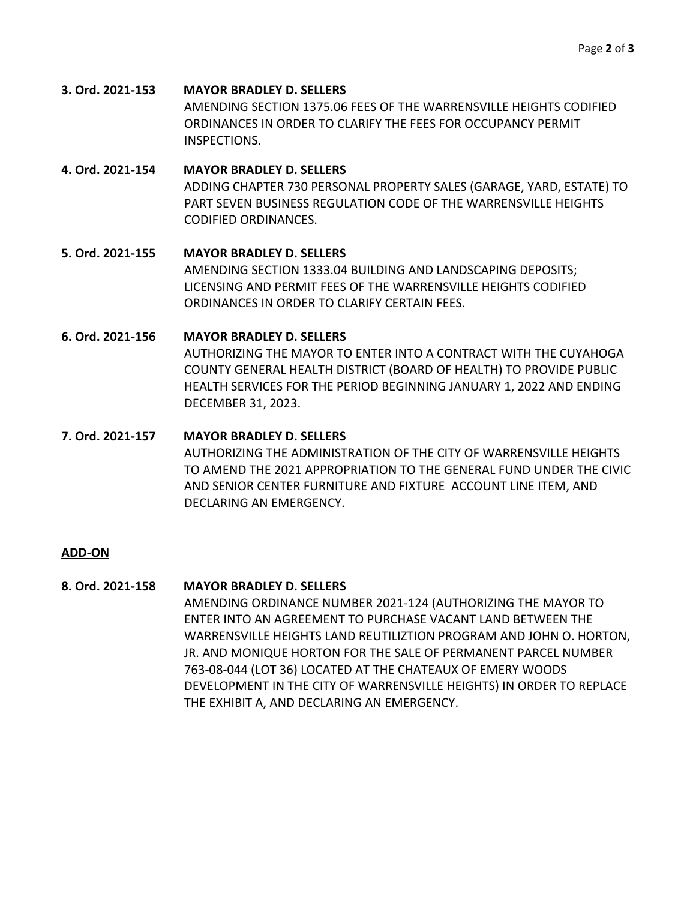**3. Ord. 2021-153 MAYOR BRADLEY D. SELLERS** AMENDING SECTION 1375.06 FEES OF THE WARRENSVILLE HEIGHTS CODIFIED ORDINANCES IN ORDER TO CLARIFY THE FEES FOR OCCUPANCY PERMIT INSPECTIONS.

## **4. Ord. 2021-154 MAYOR BRADLEY D. SELLERS** ADDING CHAPTER 730 PERSONAL PROPERTY SALES (GARAGE, YARD, ESTATE) TO PART SEVEN BUSINESS REGULATION CODE OF THE WARRENSVILLE HEIGHTS CODIFIED ORDINANCES.

## **5. Ord. 2021-155 MAYOR BRADLEY D. SELLERS** AMENDING SECTION 1333.04 BUILDING AND LANDSCAPING DEPOSITS; LICENSING AND PERMIT FEES OF THE WARRENSVILLE HEIGHTS CODIFIED ORDINANCES IN ORDER TO CLARIFY CERTAIN FEES.

# **6. Ord. 2021-156 MAYOR BRADLEY D. SELLERS**

AUTHORIZING THE MAYOR TO ENTER INTO A CONTRACT WITH THE CUYAHOGA COUNTY GENERAL HEALTH DISTRICT (BOARD OF HEALTH) TO PROVIDE PUBLIC HEALTH SERVICES FOR THE PERIOD BEGINNING JANUARY 1, 2022 AND ENDING DECEMBER 31, 2023.

#### **7. Ord. 2021-157 MAYOR BRADLEY D. SELLERS**

AUTHORIZING THE ADMINISTRATION OF THE CITY OF WARRENSVILLE HEIGHTS TO AMEND THE 2021 APPROPRIATION TO THE GENERAL FUND UNDER THE CIVIC AND SENIOR CENTER FURNITURE AND FIXTURE ACCOUNT LINE ITEM, AND DECLARING AN EMERGENCY.

## **ADD-ON**

## **8. Ord. 2021-158 MAYOR BRADLEY D. SELLERS**

AMENDING ORDINANCE NUMBER 2021-124 (AUTHORIZING THE MAYOR TO ENTER INTO AN AGREEMENT TO PURCHASE VACANT LAND BETWEEN THE WARRENSVILLE HEIGHTS LAND REUTILIZTION PROGRAM AND JOHN O. HORTON, JR. AND MONIQUE HORTON FOR THE SALE OF PERMANENT PARCEL NUMBER 763-08-044 (LOT 36) LOCATED AT THE CHATEAUX OF EMERY WOODS DEVELOPMENT IN THE CITY OF WARRENSVILLE HEIGHTS) IN ORDER TO REPLACE THE EXHIBIT A, AND DECLARING AN EMERGENCY.